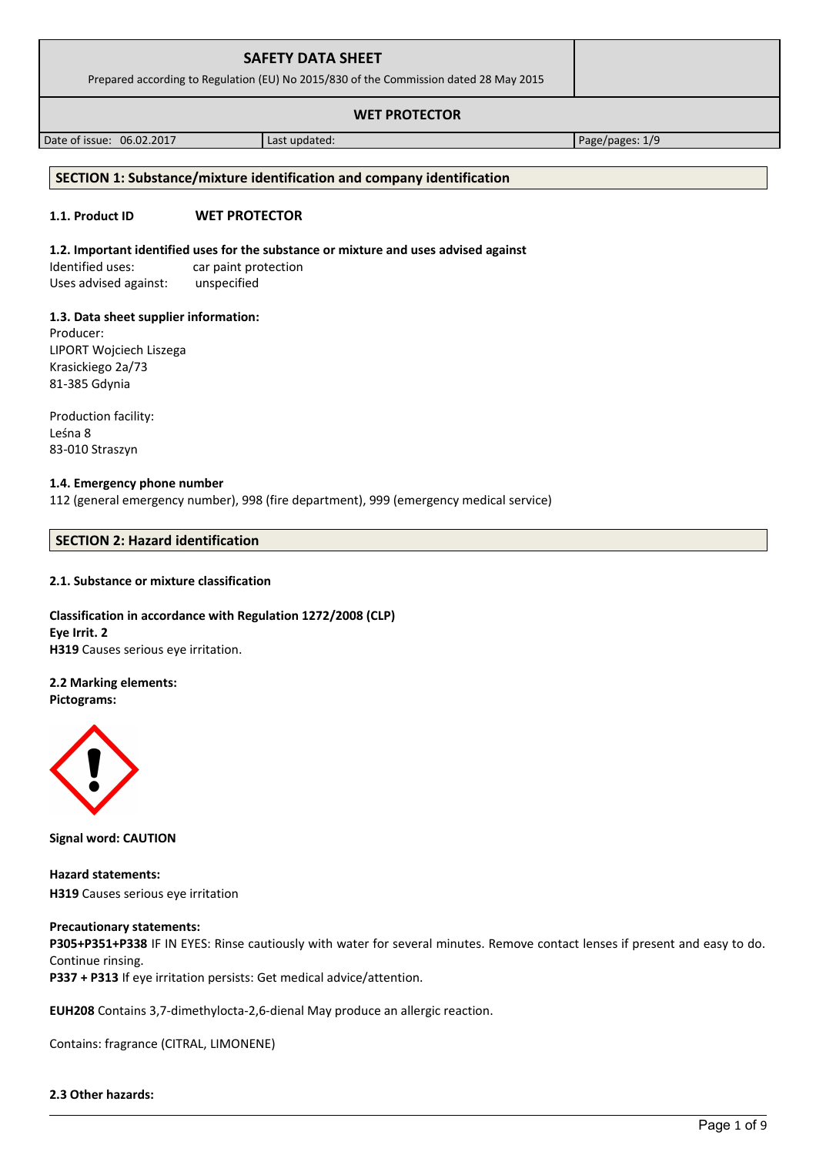| <b>SAFETY DATA SHEET</b><br>Prepared according to Regulation (EU) No 2015/830 of the Commission dated 28 May 2015 |  |
|-------------------------------------------------------------------------------------------------------------------|--|
| <b>WET PROTECTOR</b>                                                                                              |  |

Date of issue: 06.02.2017 and a last updated: Page/pages: 1/9

# **SECTION 1: Substance/mixture identification and company identification**

# **1.1. Product ID WET PROTECTOR**

# **1.2. Important identified uses for the substance or mixture and uses advised against**

Identified uses: car paint protection Uses advised against: unspecified

# **1.3. Data sheet supplier information:**

Producer: LIPORT Wojciech Liszega Krasickiego 2a/73 81-385 Gdynia

Production facility: Leśna 8 83-010 Straszyn

# **1.4. Emergency phone number**

112 (general emergency number), 998 (fire department), 999 (emergency medical service)

# **SECTION 2: Hazard identification**

# **2.1. Substance or mixture classification**

## **Classification in accordance with Regulation 1272/2008 (CLP) Eye Irrit. 2 H319** Causes serious eye irritation.

# **2.2 Marking elements:**

**Pictograms:**



**Signal word: CAUTION**

**Hazard statements: H319** Causes serious eye irritation

# **Precautionary statements:**

**P305+P351+P338** IF IN EYES: Rinse cautiously with water for several minutes. Remove contact lenses if present and easy to do. Continue rinsing. **P337 + P313** If eye irritation persists: Get medical advice/attention.

**EUH208** Contains 3,7-dimethylocta-2,6-dienal May produce an allergic reaction.

Contains: fragrance (CITRAL, LIMONENE)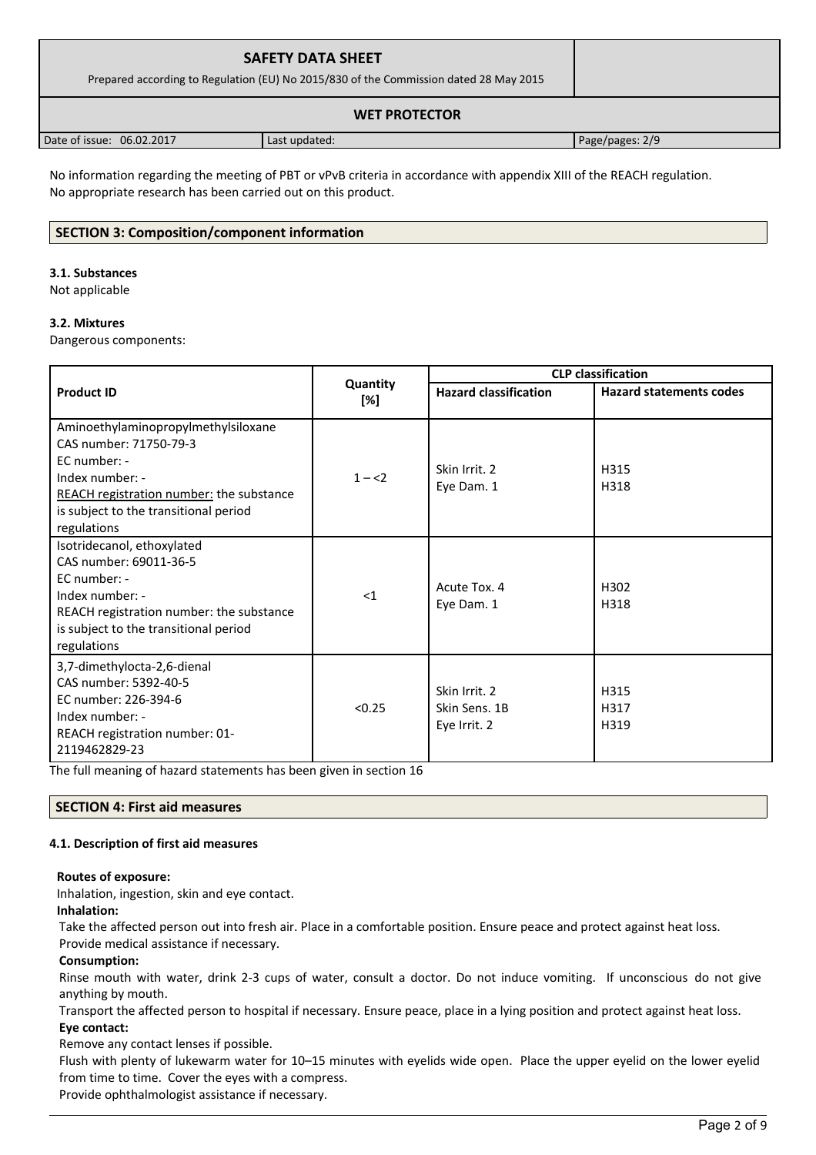| <b>SAFETY DATA SHEET</b><br>Prepared according to Regulation (EU) No 2015/830 of the Commission dated 28 May 2015 |               |                 |  |
|-------------------------------------------------------------------------------------------------------------------|---------------|-----------------|--|
| <b>WET PROTECTOR</b>                                                                                              |               |                 |  |
| Date of issue: 06.02.2017                                                                                         | Last updated: | Page/pages: 2/9 |  |

No information regarding the meeting of PBT or vPvB criteria in accordance with appendix XIII of the REACH regulation. No appropriate research has been carried out on this product.

## **SECTION 3: Composition/component information**

#### **3.1. Substances**

Not applicable

#### **3.2. Mixtures**

Dangerous components:

|                                                                                                                                                                                                             |                 | <b>CLP classification</b>                      |                                |  |
|-------------------------------------------------------------------------------------------------------------------------------------------------------------------------------------------------------------|-----------------|------------------------------------------------|--------------------------------|--|
| <b>Product ID</b>                                                                                                                                                                                           | Quantity<br>[%] | <b>Hazard classification</b>                   | <b>Hazard statements codes</b> |  |
| Aminoethylaminopropylmethylsiloxane<br>CAS number: 71750-79-3<br>EC number: -<br>Index number: -<br><b>REACH</b> registration number: the substance<br>is subject to the transitional period<br>regulations | $1 - 2$         | Skin Irrit. 2<br>Eye Dam. 1                    | H315<br>H318                   |  |
| Isotridecanol, ethoxylated<br>CAS number: 69011-36-5<br>EC number: -<br>Index number: -<br>REACH registration number: the substance<br>is subject to the transitional period<br>regulations                 | $<$ 1           | Acute Tox. 4<br>Eye Dam. 1                     | H302<br>H318                   |  |
| 3,7-dimethylocta-2,6-dienal<br>CAS number: 5392-40-5<br>EC number: 226-394-6<br>Index number: -<br>REACH registration number: 01-<br>2119462829-23                                                          | < 0.25          | Skin Irrit. 2<br>Skin Sens. 1B<br>Eye Irrit. 2 | H315<br>H317<br>H319           |  |

The full meaning of hazard statements has been given in section 16

#### **SECTION 4: First aid measures**

#### **4.1. Description of first aid measures**

#### **Routes of exposure:**

Inhalation, ingestion, skin and eye contact.

**Inhalation:**

Take the affected person out into fresh air. Place in a comfortable position. Ensure peace and protect against heat loss. Provide medical assistance if necessary.

# **Consumption:**

Rinse mouth with water, drink 2-3 cups of water, consult a doctor. Do not induce vomiting. If unconscious do not give anything by mouth.

Transport the affected person to hospital if necessary. Ensure peace, place in a lying position and protect against heat loss. **Eye contact:**

Remove any contact lenses if possible.

Flush with plenty of lukewarm water for 10–15 minutes with eyelids wide open. Place the upper eyelid on the lower eyelid from time to time. Cover the eyes with a compress.

Provide ophthalmologist assistance if necessary.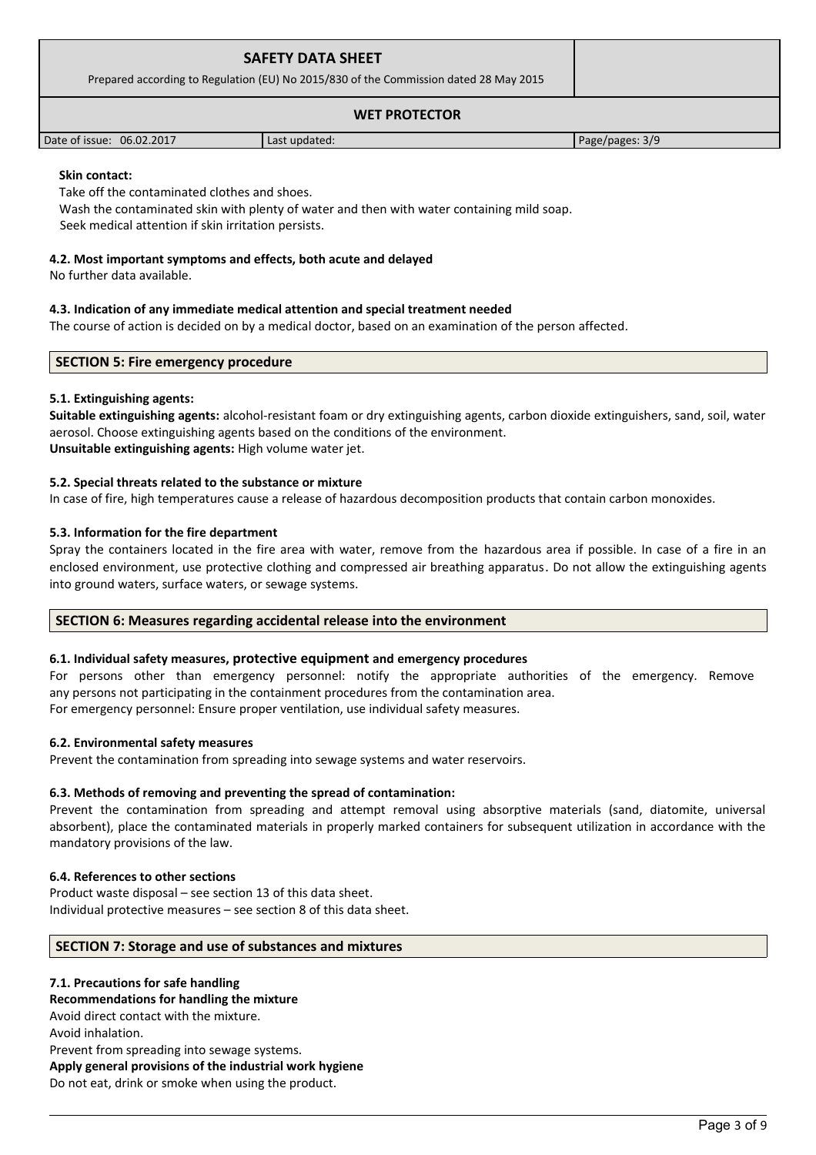|                      | <b>SAFETY DATA SHEET</b><br>Prepared according to Regulation (EU) No 2015/830 of the Commission dated 28 May 2015 |  |
|----------------------|-------------------------------------------------------------------------------------------------------------------|--|
| <b>WET PROTECTOR</b> |                                                                                                                   |  |

#### **Skin contact:**

Take off the contaminated clothes and shoes.

Wash the contaminated skin with plenty of water and then with water containing mild soap.

Seek medical attention if skin irritation persists.

#### **4.2. Most important symptoms and effects, both acute and delayed**

No further data available.

#### **4.3. Indication of any immediate medical attention and special treatment needed**

The course of action is decided on by a medical doctor, based on an examination of the person affected.

Date of issue: 06.02.2017 **Last updated:** Page/pages: 3/9

#### **SECTION 5: Fire emergency procedure**

#### **5.1. Extinguishing agents:**

**Suitable extinguishing agents:** alcohol-resistant foam or dry extinguishing agents, carbon dioxide extinguishers, sand, soil, water aerosol. Choose extinguishing agents based on the conditions of the environment. **Unsuitable extinguishing agents:** High volume water jet.

#### **5.2. Special threats related to the substance or mixture**

In case of fire, high temperatures cause a release of hazardous decomposition products that contain carbon monoxides.

#### **5.3. Information for the fire department**

Spray the containers located in the fire area with water, remove from the hazardous area if possible. In case of a fire in an enclosed environment, use protective clothing and compressed air breathing apparatus. Do not allow the extinguishing agents into ground waters, surface waters, or sewage systems.

#### **SECTION 6: Measures regarding accidental release into the environment**

#### **6.1. Individual safety measures, protective equipment and emergency procedures**

For persons other than emergency personnel: notify the appropriate authorities of the emergency. Remove any persons not participating in the containment procedures from the contamination area. For emergency personnel: Ensure proper ventilation, use individual safety measures.

#### **6.2. Environmental safety measures**

Prevent the contamination from spreading into sewage systems and water reservoirs.

#### **6.3. Methods of removing and preventing the spread of contamination:**

Prevent the contamination from spreading and attempt removal using absorptive materials (sand, diatomite, universal absorbent), place the contaminated materials in properly marked containers for subsequent utilization in accordance with the mandatory provisions of the law.

#### **6.4. References to other sections**

Product waste disposal – see section 13 of this data sheet. Individual protective measures – see section 8 of this data sheet.

#### **SECTION 7: Storage and use of substances and mixtures**

# **7.1. Precautions for safe handling Recommendations for handling the mixture**  Avoid direct contact with the mixture. Avoid inhalation. Prevent from spreading into sewage systems. **Apply general provisions of the industrial work hygiene**  Do not eat, drink or smoke when using the product.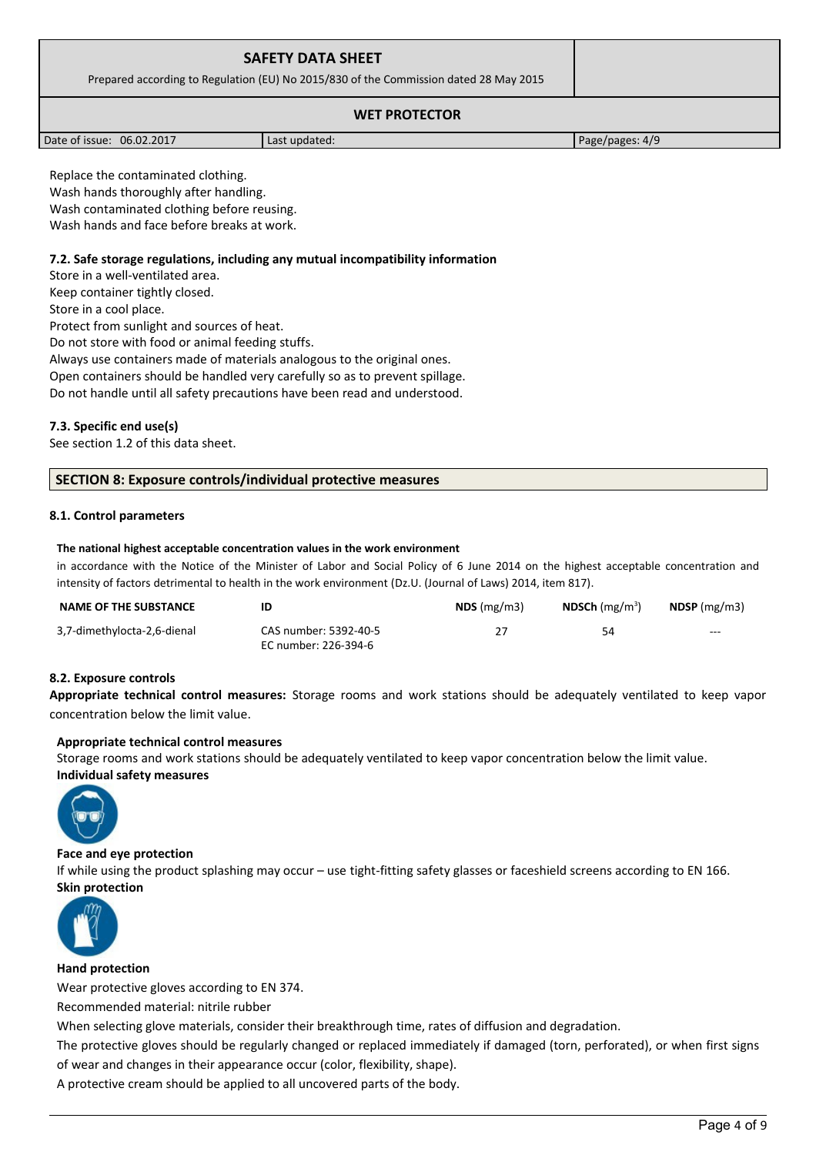| <b>SAFETY DATA SHEET</b><br>Prepared according to Regulation (EU) No 2015/830 of the Commission dated 28 May 2015 |  |
|-------------------------------------------------------------------------------------------------------------------|--|
| <b>WET PROTECTOR</b>                                                                                              |  |

| Date of issue: 06.02.2017 | Last updated: | Page/pages: 4/9 |
|---------------------------|---------------|-----------------|

Replace the contaminated clothing. Wash hands thoroughly after handling. Wash contaminated clothing before reusing. Wash hands and face before breaks at work.

#### **7.2. Safe storage regulations, including any mutual incompatibility information**

Store in a well-ventilated area. Keep container tightly closed. Store in a cool place. Protect from sunlight and sources of heat. Do not store with food or animal feeding stuffs. Always use containers made of materials analogous to the original ones. Open containers should be handled very carefully so as to prevent spillage.

Do not handle until all safety precautions have been read and understood.

### **7.3. Specific end use(s)**

See section 1.2 of this data sheet.

#### **SECTION 8: Exposure controls/individual protective measures**

#### **8.1. Control parameters**

#### **The national highest acceptable concentration values in the work environment**

in accordance with the Notice of the Minister of Labor and Social Policy of 6 June 2014 on the highest acceptable concentration and intensity of factors detrimental to health in the work environment (Dz.U. (Journal of Laws) 2014, item 817).

| <b>NAME OF THE SUBSTANCE</b> | ID                                            | $NDS$ (mg/m3) | <b>NDSCh</b> ( $mg/m^3$ ) | $NDSP$ (mg/m3) |
|------------------------------|-----------------------------------------------|---------------|---------------------------|----------------|
| 3,7-dimethylocta-2,6-dienal  | CAS number: 5392-40-5<br>EC number: 226-394-6 | 27            | 54                        | $---$          |

#### **8.2. Exposure controls**

**Appropriate technical control measures:** Storage rooms and work stations should be adequately ventilated to keep vapor concentration below the limit value.

#### **Appropriate technical control measures**

Storage rooms and work stations should be adequately ventilated to keep vapor concentration below the limit value. **Individual safety measures** 



#### **Face and eye protection**

If while using the product splashing may occur – use tight-fitting safety glasses or faceshield screens according to EN 166. **Skin protection** 



#### **Hand protection**

Wear protective gloves according to EN 374.

Recommended material: nitrile rubber

When selecting glove materials, consider their breakthrough time, rates of diffusion and degradation.

The protective gloves should be regularly changed or replaced immediately if damaged (torn, perforated), or when first signs of wear and changes in their appearance occur (color, flexibility, shape).

A protective cream should be applied to all uncovered parts of the body.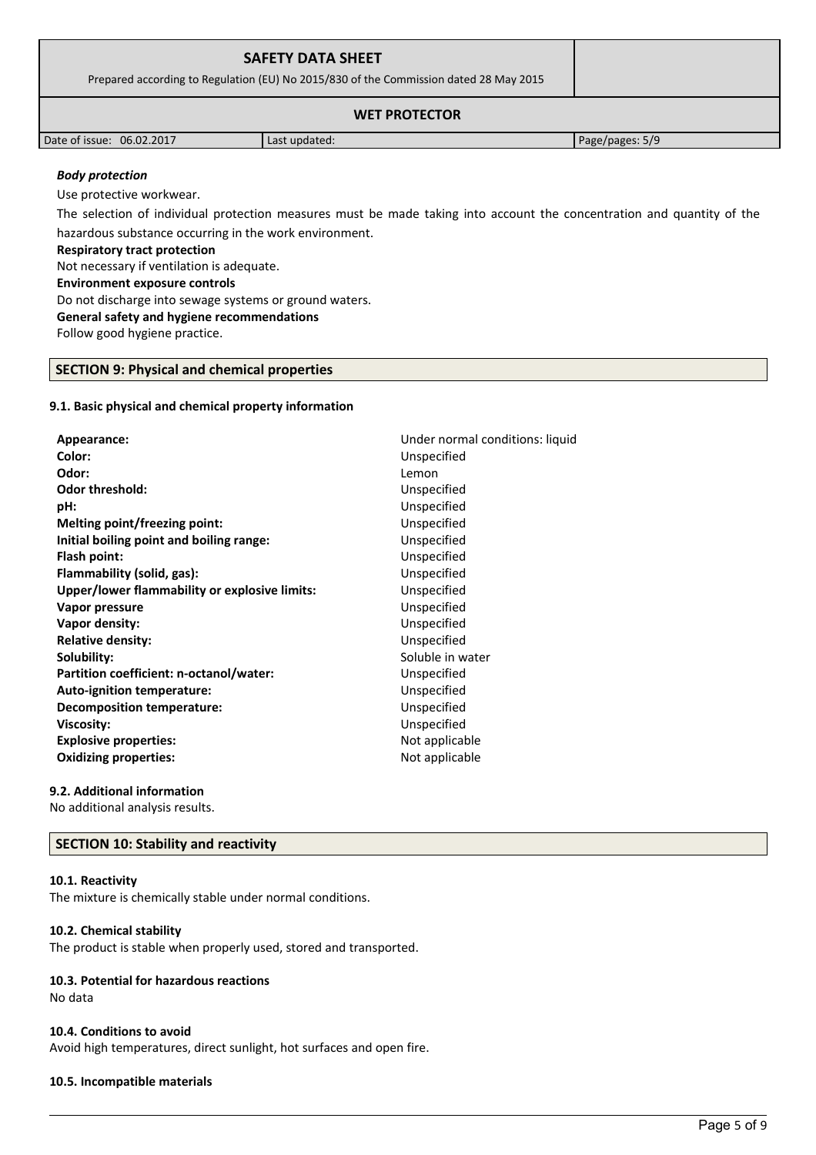| <b>SAFETY DATA SHEET</b><br>Prepared according to Regulation (EU) No 2015/830 of the Commission dated 28 May 2015 |               |                 |  |
|-------------------------------------------------------------------------------------------------------------------|---------------|-----------------|--|
| <b>WET PROTECTOR</b>                                                                                              |               |                 |  |
| Date of issue: 06.02.2017                                                                                         | Last updated: | Page/pages: 5/9 |  |

## *Body protection*

Use protective workwear. The selection of individual protection measures must be made taking into account the concentration and quantity of the hazardous substance occurring in the work environment. **Respiratory tract protection** Not necessary if ventilation is adequate. **Environment exposure controls**  Do not discharge into sewage systems or ground waters. **General safety and hygiene recommendations** Follow good hygiene practice.

## **SECTION 9: Physical and chemical properties**

#### **9.1. Basic physical and chemical property information**

| Appearance:                                   | Under normal conditions: liquid |
|-----------------------------------------------|---------------------------------|
| Color:                                        | Unspecified                     |
| Odor:                                         | Lemon                           |
| <b>Odor threshold:</b>                        | Unspecified                     |
| pH:                                           | Unspecified                     |
| Melting point/freezing point:                 | Unspecified                     |
| Initial boiling point and boiling range:      | Unspecified                     |
| Flash point:                                  | Unspecified                     |
| Flammability (solid, gas):                    | Unspecified                     |
| Upper/lower flammability or explosive limits: | Unspecified                     |
| Vapor pressure                                | Unspecified                     |
| Vapor density:                                | Unspecified                     |
| <b>Relative density:</b>                      | Unspecified                     |
| Solubility:                                   | Soluble in water                |
| Partition coefficient: n-octanol/water:       | Unspecified                     |
| Auto-ignition temperature:                    | Unspecified                     |
| Decomposition temperature:                    | Unspecified                     |
| <b>Viscosity:</b>                             | Unspecified                     |
| <b>Explosive properties:</b>                  | Not applicable                  |
| <b>Oxidizing properties:</b>                  | Not applicable                  |
|                                               |                                 |

#### **9.2. Additional information**

No additional analysis results.

#### **SECTION 10: Stability and reactivity**

#### **10.1. Reactivity**

The mixture is chemically stable under normal conditions.

#### **10.2. Chemical stability**

The product is stable when properly used, stored and transported.

# **10.3. Potential for hazardous reactions**

No data

#### **10.4. Conditions to avoid**

Avoid high temperatures, direct sunlight, hot surfaces and open fire.

#### **10.5. Incompatible materials**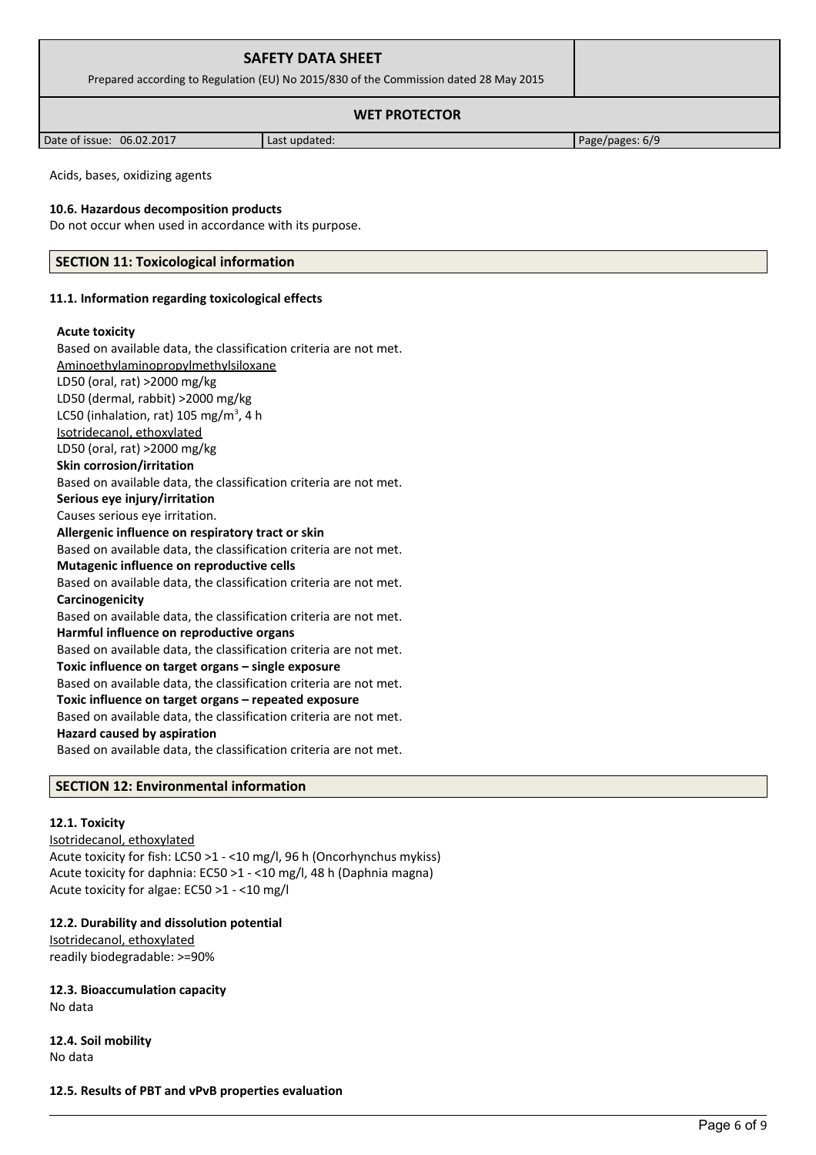| <b>SAFETY DATA SHEET</b>                                                              |  |  |
|---------------------------------------------------------------------------------------|--|--|
| Prepared according to Regulation (EU) No 2015/830 of the Commission dated 28 May 2015 |  |  |
| <b>WET PROTECTOR</b>                                                                  |  |  |

Date of issue: 06.02.2017 and a last updated: Page/pages: 6/9

Acids, bases, oxidizing agents

#### **10.6. Hazardous decomposition products**

Do not occur when used in accordance with its purpose.

#### **SECTION 11: Toxicological information**

#### **11.1. Information regarding toxicological effects**

#### **Acute toxicity**

Based on available data, the classification criteria are not met. Aminoethylaminopropylmethylsiloxane LD50 (oral, rat) >2000 mg/kg LD50 (dermal, rabbit) >2000 mg/kg LC50 (inhalation, rat)  $105 \text{ mg/m}^3$ , 4 h Isotridecanol, ethoxylated LD50 (oral, rat) >2000 mg/kg **Skin corrosion/irritation** Based on available data, the classification criteria are not met. **Serious eye injury/irritation** Causes serious eye irritation. **Allergenic influence on respiratory tract or skin** Based on available data, the classification criteria are not met. **Mutagenic influence on reproductive cells** Based on available data, the classification criteria are not met. **Carcinogenicity** Based on available data, the classification criteria are not met. **Harmful influence on reproductive organs** Based on available data, the classification criteria are not met. **Toxic influence on target organs – single exposure** Based on available data, the classification criteria are not met. **Toxic influence on target organs – repeated exposure** Based on available data, the classification criteria are not met. **Hazard caused by aspiration** Based on available data, the classification criteria are not met.

# **SECTION 12: Environmental information**

#### **12.1. Toxicity**

Isotridecanol, ethoxylated Acute toxicity for fish: LC50 >1 - <10 mg/l, 96 h (Oncorhynchus mykiss) Acute toxicity for daphnia: EC50 >1 - <10 mg/l, 48 h (Daphnia magna) Acute toxicity for algae: EC50 >1 - <10 mg/l

#### **12.2. Durability and dissolution potential**

Isotridecanol, ethoxylated readily biodegradable: >=90%

**12.3. Bioaccumulation capacity** No data

**12.4. Soil mobility** No data

**12.5. Results of PBT and vPvB properties evaluation**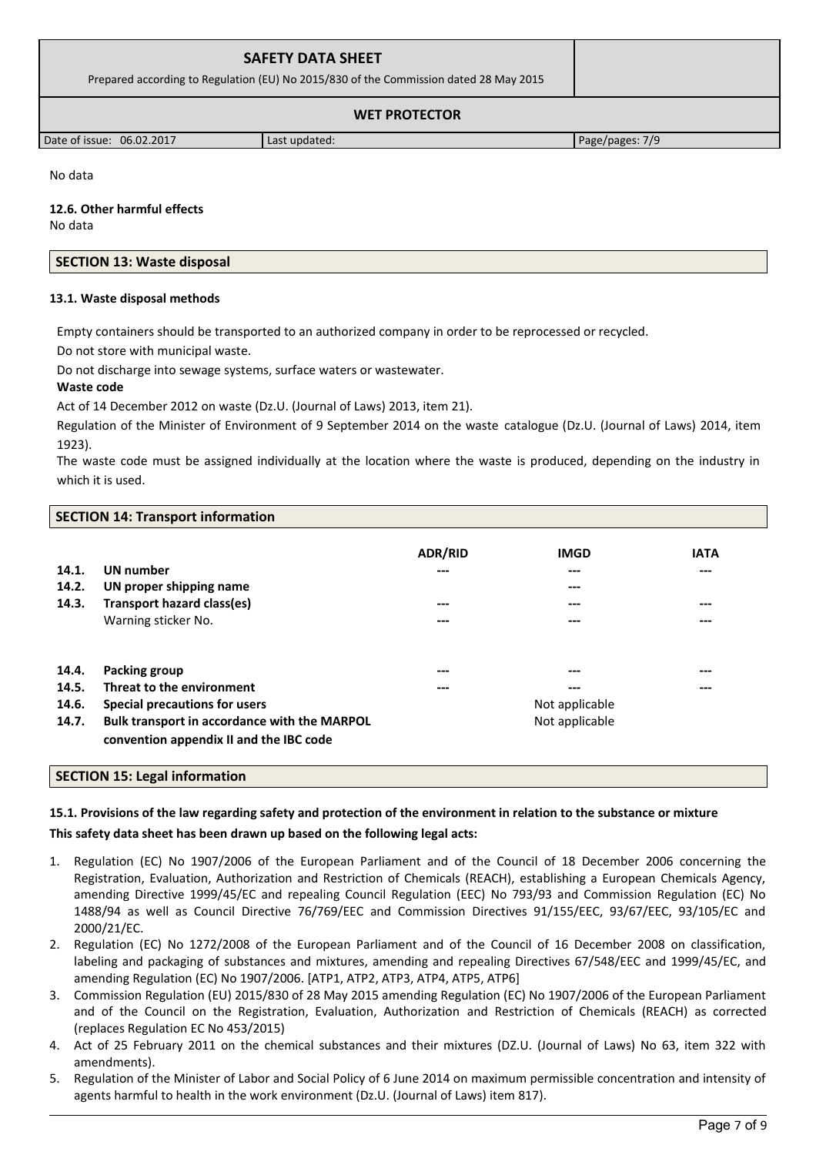# **SAFETY DATA SHEET**  Prepared according to Regulation (EU) No 2015/830 of the Commission dated 28 May 2015

# **WET PROTECTOR**

Date of issue: 06.02.2017 and a last updated: Page/pages: 7/9

No data

**12.6. Other harmful effects** No data

# **SECTION 13: Waste disposal**

### **13.1. Waste disposal methods**

Empty containers should be transported to an authorized company in order to be reprocessed or recycled.

Do not store with municipal waste.

Do not discharge into sewage systems, surface waters or wastewater.

### **Waste code**

Act of 14 December 2012 on waste (Dz.U. (Journal of Laws) 2013, item 21).

Regulation of the Minister of Environment of 9 September 2014 on the waste catalogue (Dz.U. (Journal of Laws) 2014, item 1923).

The waste code must be assigned individually at the location where the waste is produced, depending on the industry in which it is used.

| <b>SECTION 14: Transport information</b> |  |
|------------------------------------------|--|
|------------------------------------------|--|

|       |                                              | <b>ADR/RID</b> | <b>IMGD</b>    | <b>IATA</b> |
|-------|----------------------------------------------|----------------|----------------|-------------|
| 14.1. | UN number                                    | ---            | ---            | ---         |
| 14.2. | UN proper shipping name                      |                | ---            |             |
| 14.3. | Transport hazard class(es)                   | ---            | ---            | ---         |
|       | Warning sticker No.                          | ---            | ---            | ---         |
|       |                                              |                |                |             |
| 14.4. | Packing group                                | ---            | ---            | ---         |
| 14.5. | Threat to the environment                    | ---            | ---            | ---         |
| 14.6. | Special precautions for users                |                | Not applicable |             |
| 14.7. | Bulk transport in accordance with the MARPOL |                | Not applicable |             |
|       | convention appendix II and the IBC code      |                |                |             |

#### **SECTION 15: Legal information**

# **15.1. Provisions of the law regarding safety and protection of the environment in relation to the substance or mixture**

# **This safety data sheet has been drawn up based on the following legal acts:**

- 1. Regulation (EC) No 1907/2006 of the European Parliament and of the Council of 18 December 2006 concerning the Registration, Evaluation, Authorization and Restriction of Chemicals (REACH), establishing a European Chemicals Agency, amending Directive 1999/45/EC and repealing Council Regulation (EEC) No 793/93 and Commission Regulation (EC) No 1488/94 as well as Council Directive 76/769/EEC and Commission Directives 91/155/EEC, 93/67/EEC, 93/105/EC and 2000/21/EC.
- 2. Regulation (EC) No 1272/2008 of the European Parliament and of the Council of 16 December 2008 on classification, labeling and packaging of substances and mixtures, amending and repealing Directives 67/548/EEC and 1999/45/EC, and amending Regulation (EC) No 1907/2006. [ATP1, ATP2, ATP3, ATP4, ATP5, ATP6]
- 3. Commission Regulation (EU) 2015/830 of 28 May 2015 amending Regulation (EC) No 1907/2006 of the European Parliament and of the Council on the Registration, Evaluation, Authorization and Restriction of Chemicals (REACH) as corrected (replaces Regulation EC No 453/2015)
- 4. Act of 25 February 2011 on the chemical substances and their mixtures (DZ.U. (Journal of Laws) No 63, item 322 with amendments).
- 5. Regulation of the Minister of Labor and Social Policy of 6 June 2014 on maximum permissible concentration and intensity of agents harmful to health in the work environment (Dz.U. (Journal of Laws) item 817).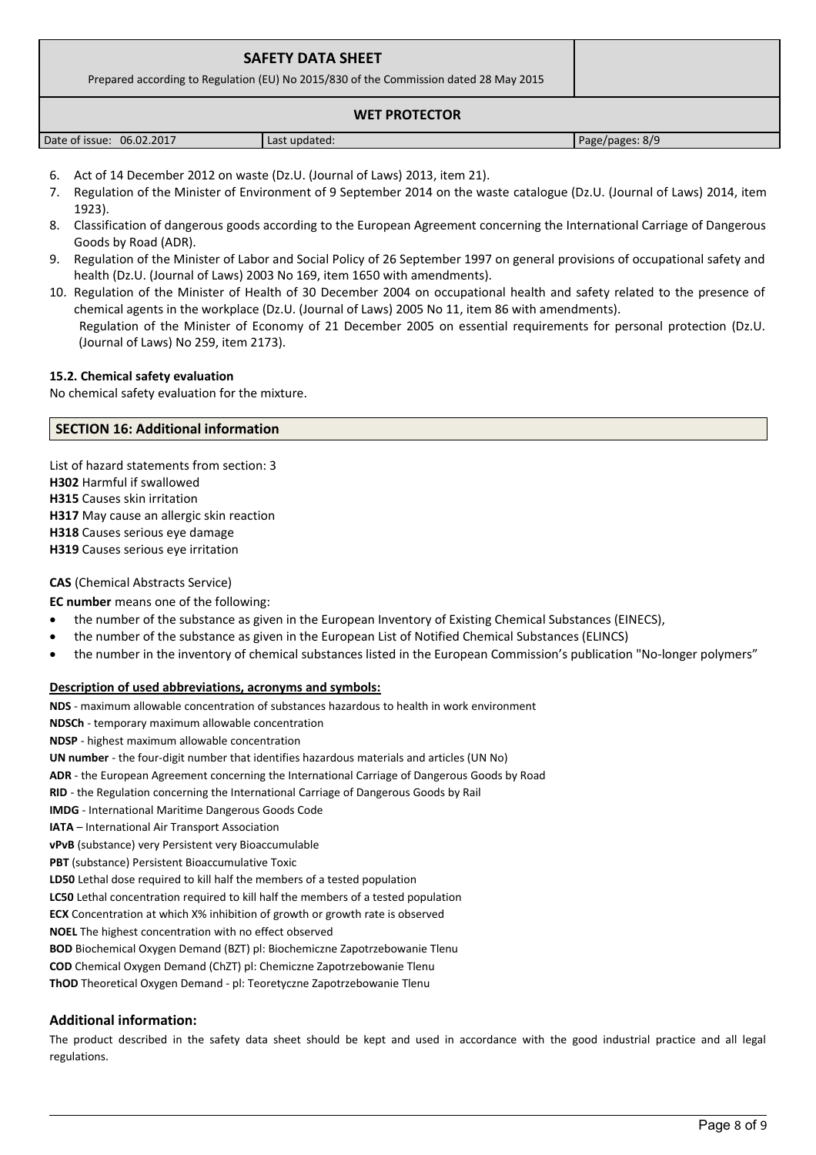| <b>SAFETY DATA SHEET</b><br>Prepared according to Regulation (EU) No 2015/830 of the Commission dated 28 May 2015 |               |                 |  |
|-------------------------------------------------------------------------------------------------------------------|---------------|-----------------|--|
| <b>WET PROTECTOR</b>                                                                                              |               |                 |  |
| Date of issue: 06.02.2017                                                                                         | Last updated: | Page/pages: 8/9 |  |

- 6. Act of 14 December 2012 on waste (Dz.U. (Journal of Laws) 2013, item 21).
- 7. Regulation of the Minister of Environment of 9 September 2014 on the waste catalogue (Dz.U. (Journal of Laws) 2014, item 1923).
- 8. Classification of dangerous goods according to the European Agreement concerning the International Carriage of Dangerous Goods by Road (ADR).
- 9. Regulation of the Minister of Labor and Social Policy of 26 September 1997 on general provisions of occupational safety and health (Dz.U. (Journal of Laws) 2003 No 169, item 1650 with amendments).
- 10. Regulation of the Minister of Health of 30 December 2004 on occupational health and safety related to the presence of chemical agents in the workplace (Dz.U. (Journal of Laws) 2005 No 11, item 86 with amendments). Regulation of the Minister of Economy of 21 December 2005 on essential requirements for personal protection (Dz.U. (Journal of Laws) No 259, item 2173).

#### **15.2. Chemical safety evaluation**

No chemical safety evaluation for the mixture.

#### **SECTION 16: Additional information**

List of hazard statements from section: 3 **H302** Harmful if swallowed **H315** Causes skin irritation **H317** May cause an allergic skin reaction **H318** Causes serious eye damage **H319** Causes serious eye irritation

#### **CAS** (Chemical Abstracts Service)

**EC number** means one of the following:

- the number of the substance as given in the European Inventory of Existing Chemical Substances (EINECS),
- the number of the substance as given in the European List of Notified Chemical Substances (ELINCS)
- the number in the inventory of chemical substances listed in the European Commission's publication "No-longer polymers"

#### **Description of used abbreviations, acronyms and symbols:**

**NDS** - maximum allowable concentration of substances hazardous to health in work environment **NDSCh** - temporary maximum allowable concentration **NDSP** - highest maximum allowable concentration **UN number** - the four-digit number that identifies hazardous materials and articles (UN No) **ADR** - the European Agreement concerning the International Carriage of Dangerous Goods by Road **RID** - the Regulation concerning the International Carriage of Dangerous Goods by Rail **IMDG** - International Maritime Dangerous Goods Code **IATA** – International Air Transport Association **vPvB** (substance) very Persistent very Bioaccumulable **PBT** (substance) Persistent Bioaccumulative Toxic **LD50** Lethal dose required to kill half the members of a tested population **LC50** Lethal concentration required to kill half the members of a tested population **ECX** Concentration at which X% inhibition of growth or growth rate is observed **NOEL** The highest concentration with no effect observed **BOD** Biochemical Oxygen Demand (BZT) pl: Biochemiczne Zapotrzebowanie Tlenu **COD** Chemical Oxygen Demand (ChZT) pl: Chemiczne Zapotrzebowanie Tlenu **ThOD** Theoretical Oxygen Demand - pl: Teoretyczne Zapotrzebowanie Tlenu

# **Additional information:**

The product described in the safety data sheet should be kept and used in accordance with the good industrial practice and all legal regulations.